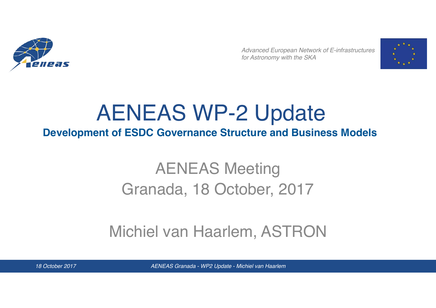

*Advanced European Network of E-infrastructures for Astronomy with the SKA*



### AENEAS WP-2 Update **Development of ESDC Governance Structure and Business Models**

## AENEAS Meeting Granada, 18 October, 2017

#### Michiel van Haarlem, ASTRON

*18 October 2017 AENEAS Granada - WP2 Update - Michiel van Haarlem*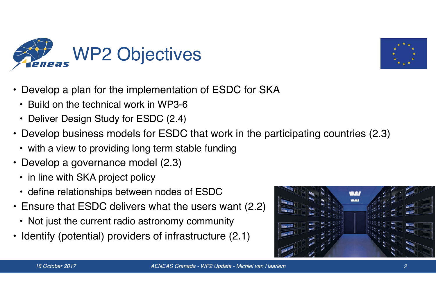



- Develop a plan for the implementation of ESDC for SKA
	- Build on the technical work in WP3-6
	- Deliver Design Study for ESDC (2.4)
- Develop business models for ESDC that work in the participating countries (2.3)
	- with a view to providing long term stable funding
- Develop a governance model (2.3)
	- in line with SKA project policy
	- define relationships between nodes of ESDC
- Ensure that ESDC delivers what the users want (2.2)
	- Not just the current radio astronomy community
- Identify (potential) providers of infrastructure (2.1)

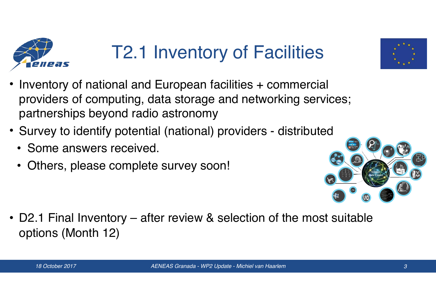

# T2.1 Inventory of Facilities

- Inventory of national and European facilities + commercial providers of computing, data storage and networking services; partnerships beyond radio astronomy
- Survey to identify potential (national) providers distributed
	- Some answers received.
	- Others, please complete survey soon!



• D2.1 Final Inventory – after review & selection of the most suitable options (Month 12)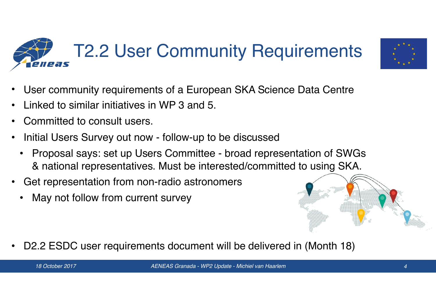#### T2.2 User Community Requirements eneas



- User community requirements of a European SKA Science Data Centre
- Linked to similar initiatives in WP 3 and 5.
- Committed to consult users.
- Initial Users Survey out now follow-up to be discussed
	- Proposal says: set up Users Committee broad representation of SWGs & national representatives. Must be interested/committed to using SKA.
- Get representation from non-radio astronomers
	- May not follow from current survey



• D2.2 ESDC user requirements document will be delivered in (Month 18)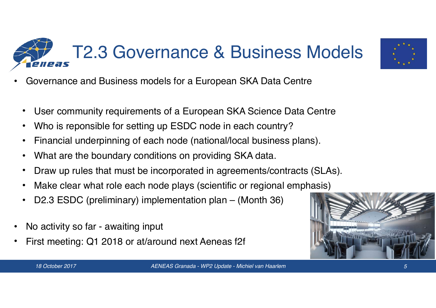



- Governance and Business models for a European SKA Data Centre
- User community requirements of a European SKA Science Data Centre
- Who is reponsible for setting up ESDC node in each country?
- Financial underpinning of each node (national/local business plans).
- What are the boundary conditions on providing SKA data.
- Draw up rules that must be incorporated in agreements/contracts (SLAs).
- Make clear what role each node plays (scientific or regional emphasis)
- D2.3 ESDC (preliminary) implementation plan (Month 36)
- No activity so far awaiting input
- First meeting: Q1 2018 or at/around next Aeneas f2f